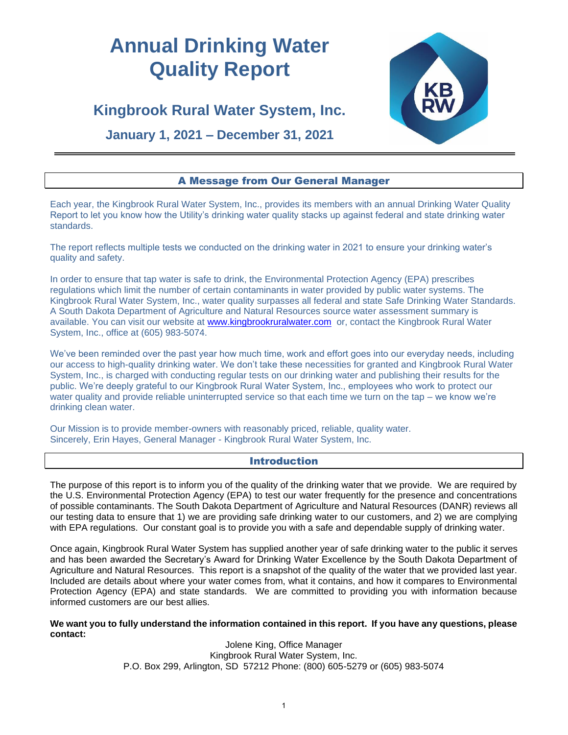# **Annual Drinking Water Quality Report**



# **Kingbrook Rural Water System, Inc.**

# **January 1, 2021 – December 31, 2021**

# A Message from Our General Manager

Each year, the Kingbrook Rural Water System, Inc., provides its members with an annual Drinking Water Quality Report to let you know how the Utility's drinking water quality stacks up against federal and state drinking water standards.

The report reflects multiple tests we conducted on the drinking water in 2021 to ensure your drinking water's quality and safety.

In order to ensure that tap water is safe to drink, the Environmental Protection Agency (EPA) prescribes regulations which limit the number of certain contaminants in water provided by public water systems. The Kingbrook Rural Water System, Inc., water quality surpasses all federal and state Safe Drinking Water Standards. A South Dakota Department of Agriculture and Natural Resources source water assessment summary is available. You can visit our website at [www.kingbrookruralwater.com](http://www.kingbrookruralwater.com/) or, contact the Kingbrook Rural Water System, Inc., office at (605) 983-5074.

We've been reminded over the past year how much time, work and effort goes into our everyday needs, including our access to high-quality drinking water. We don't take these necessities for granted and Kingbrook Rural Water System, Inc., is charged with conducting regular tests on our drinking water and publishing their results for the public. We're deeply grateful to our Kingbrook Rural Water System, Inc., employees who work to protect our water quality and provide reliable uninterrupted service so that each time we turn on the tap – we know we're drinking clean water.

Our Mission is to provide member-owners with reasonably priced, reliable, quality water. Sincerely, Erin Hayes, General Manager - Kingbrook Rural Water System, Inc.

## Introduction

The purpose of this report is to inform you of the quality of the drinking water that we provide. We are required by the U.S. Environmental Protection Agency (EPA) to test our water frequently for the presence and concentrations of possible contaminants. The South Dakota Department of Agriculture and Natural Resources (DANR) reviews all our testing data to ensure that 1) we are providing safe drinking water to our customers, and 2) we are complying with EPA regulations. Our constant goal is to provide you with a safe and dependable supply of drinking water.

Once again, Kingbrook Rural Water System has supplied another year of safe drinking water to the public it serves and has been awarded the Secretary's Award for Drinking Water Excellence by the South Dakota Department of Agriculture and Natural Resources. This report is a snapshot of the quality of the water that we provided last year. Included are details about where your water comes from, what it contains, and how it compares to Environmental Protection Agency (EPA) and state standards. We are committed to providing you with information because informed customers are our best allies.

**We want you to fully understand the information contained in this report. If you have any questions, please contact:**

Jolene King, Office Manager Kingbrook Rural Water System, Inc. P.O. Box 299, Arlington, SD 57212 Phone: (800) 605-5279 or (605) 983-5074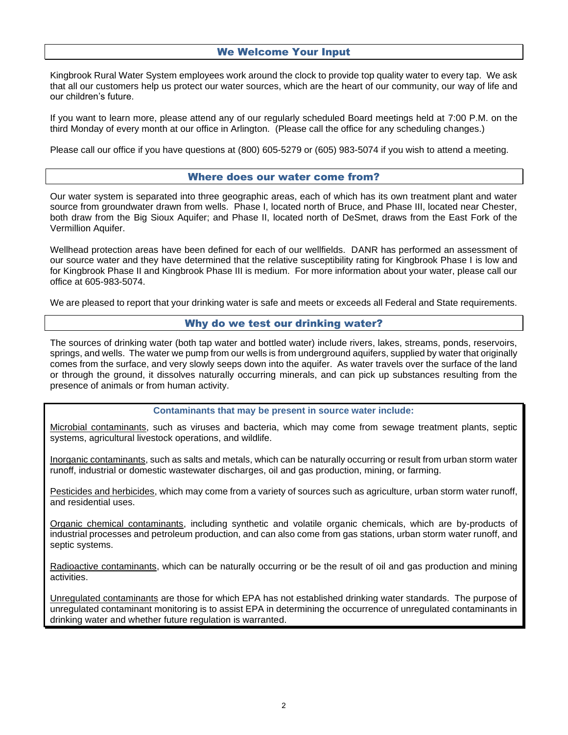# We Welcome Your Input

Kingbrook Rural Water System employees work around the clock to provide top quality water to every tap. We ask that all our customers help us protect our water sources, which are the heart of our community, our way of life and our children's future.

If you want to learn more, please attend any of our regularly scheduled Board meetings held at 7:00 P.M. on the third Monday of every month at our office in Arlington. (Please call the office for any scheduling changes.)

Please call our office if you have questions at (800) 605-5279 or (605) 983-5074 if you wish to attend a meeting.

#### Where does our water come from?

Our water system is separated into three geographic areas, each of which has its own treatment plant and water source from groundwater drawn from wells. Phase I, located north of Bruce, and Phase III, located near Chester, both draw from the Big Sioux Aquifer; and Phase II, located north of DeSmet, draws from the East Fork of the Vermillion Aquifer.

Wellhead protection areas have been defined for each of our wellfields. DANR has performed an assessment of our source water and they have determined that the relative susceptibility rating for Kingbrook Phase I is low and for Kingbrook Phase II and Kingbrook Phase III is medium. For more information about your water, please call our office at 605-983-5074.

We are pleased to report that your drinking water is safe and meets or exceeds all Federal and State requirements.

#### Why do we test our drinking water?

The sources of drinking water (both tap water and bottled water) include rivers, lakes, streams, ponds, reservoirs, springs, and wells. The water we pump from our wells is from underground aquifers, supplied by water that originally comes from the surface, and very slowly seeps down into the aquifer. As water travels over the surface of the land or through the ground, it dissolves naturally occurring minerals, and can pick up substances resulting from the presence of animals or from human activity.

**Contaminants that may be present in source water include:**

Microbial contaminants, such as viruses and bacteria, which may come from sewage treatment plants, septic systems, agricultural livestock operations, and wildlife.

Inorganic contaminants, such as salts and metals, which can be naturally occurring or result from urban storm water runoff, industrial or domestic wastewater discharges, oil and gas production, mining, or farming.

Pesticides and herbicides, which may come from a variety of sources such as agriculture, urban storm water runoff, and residential uses.

Organic chemical contaminants, including synthetic and volatile organic chemicals, which are by-products of industrial processes and petroleum production, and can also come from gas stations, urban storm water runoff, and septic systems.

Radioactive contaminants, which can be naturally occurring or be the result of oil and gas production and mining activities.

Unregulated contaminants are those for which EPA has not established drinking water standards. The purpose of unregulated contaminant monitoring is to assist EPA in determining the occurrence of unregulated contaminants in drinking water and whether future regulation is warranted.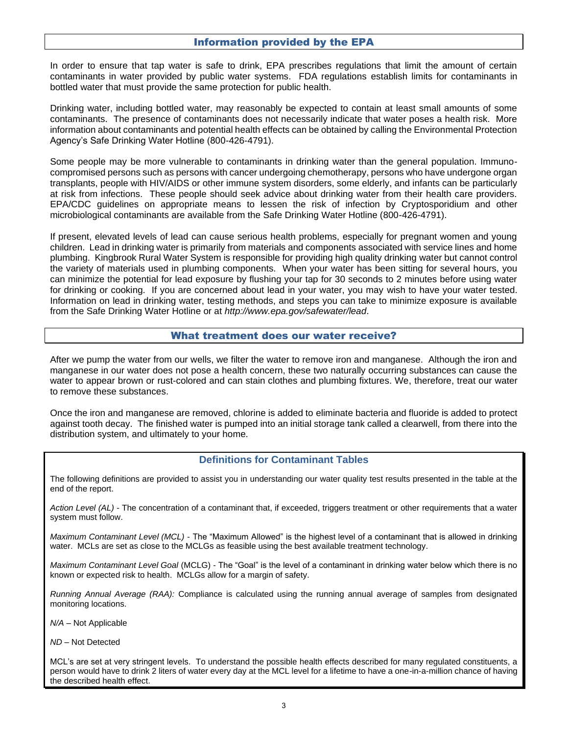#### Information provided by the EPA

In order to ensure that tap water is safe to drink, EPA prescribes regulations that limit the amount of certain contaminants in water provided by public water systems. FDA regulations establish limits for contaminants in bottled water that must provide the same protection for public health.

Drinking water, including bottled water, may reasonably be expected to contain at least small amounts of some contaminants. The presence of contaminants does not necessarily indicate that water poses a health risk. More information about contaminants and potential health effects can be obtained by calling the Environmental Protection Agency's Safe Drinking Water Hotline (800-426-4791).

Some people may be more vulnerable to contaminants in drinking water than the general population. Immunocompromised persons such as persons with cancer undergoing chemotherapy, persons who have undergone organ transplants, people with HIV/AIDS or other immune system disorders, some elderly, and infants can be particularly at risk from infections. These people should seek advice about drinking water from their health care providers. EPA/CDC guidelines on appropriate means to lessen the risk of infection by Cryptosporidium and other microbiological contaminants are available from the Safe Drinking Water Hotline (800-426-4791).

If present, elevated levels of lead can cause serious health problems, especially for pregnant women and young children. Lead in drinking water is primarily from materials and components associated with service lines and home plumbing. Kingbrook Rural Water System is responsible for providing high quality drinking water but cannot control the variety of materials used in plumbing components. When your water has been sitting for several hours, you can minimize the potential for lead exposure by flushing your tap for 30 seconds to 2 minutes before using water for drinking or cooking. If you are concerned about lead in your water, you may wish to have your water tested. Information on lead in drinking water, testing methods, and steps you can take to minimize exposure is available from the Safe Drinking Water Hotline or at *http://www.epa.gov/safewater/lead*.

# What treatment does our water receive?

After we pump the water from our wells, we filter the water to remove iron and manganese. Although the iron and manganese in our water does not pose a health concern, these two naturally occurring substances can cause the water to appear brown or rust-colored and can stain clothes and plumbing fixtures. We, therefore, treat our water to remove these substances.

Once the iron and manganese are removed, chlorine is added to eliminate bacteria and fluoride is added to protect against tooth decay. The finished water is pumped into an initial storage tank called a clearwell, from there into the distribution system, and ultimately to your home.

#### **Definitions for Contaminant Tables**

The following definitions are provided to assist you in understanding our water quality test results presented in the table at the end of the report.

*Action Level (AL)* - The concentration of a contaminant that, if exceeded, triggers treatment or other requirements that a water system must follow.

*Maximum Contaminant Level (MCL)* - The "Maximum Allowed" is the highest level of a contaminant that is allowed in drinking water. MCLs are set as close to the MCLGs as feasible using the best available treatment technology.

*Maximum Contaminant Level Goal* (MCLG) - The "Goal" is the level of a contaminant in drinking water below which there is no known or expected risk to health. MCLGs allow for a margin of safety.

*Running Annual Average (RAA):* Compliance is calculated using the running annual average of samples from designated monitoring locations.

*N/A –* Not Applicable

*ND* – Not Detected

MCL's are set at very stringent levels. To understand the possible health effects described for many regulated constituents, a person would have to drink 2 liters of water every day at the MCL level for a lifetime to have a one-in-a-million chance of having the described health effect.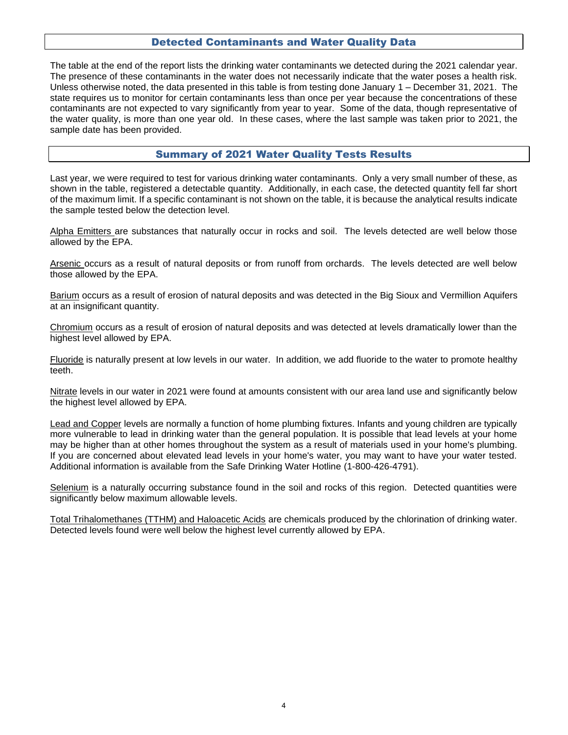## Detected Contaminants and Water Quality Data

The table at the end of the report lists the drinking water contaminants we detected during the 2021 calendar year. The presence of these contaminants in the water does not necessarily indicate that the water poses a health risk. Unless otherwise noted, the data presented in this table is from testing done January 1 – December 31, 2021. The state requires us to monitor for certain contaminants less than once per year because the concentrations of these contaminants are not expected to vary significantly from year to year. Some of the data, though representative of the water quality, is more than one year old. In these cases, where the last sample was taken prior to 2021, the sample date has been provided.

## Summary of 2021 Water Quality Tests Results

Last year, we were required to test for various drinking water contaminants. Only a very small number of these, as shown in the table, registered a detectable quantity. Additionally, in each case, the detected quantity fell far short of the maximum limit. If a specific contaminant is not shown on the table, it is because the analytical results indicate the sample tested below the detection level.

Alpha Emitters are substances that naturally occur in rocks and soil. The levels detected are well below those allowed by the EPA.

Arsenic occurs as a result of natural deposits or from runoff from orchards. The levels detected are well below those allowed by the EPA.

Barium occurs as a result of erosion of natural deposits and was detected in the Big Sioux and Vermillion Aquifers at an insignificant quantity.

Chromium occurs as a result of erosion of natural deposits and was detected at levels dramatically lower than the highest level allowed by EPA.

Fluoride is naturally present at low levels in our water. In addition, we add fluoride to the water to promote healthy teeth.

Nitrate levels in our water in 2021 were found at amounts consistent with our area land use and significantly below the highest level allowed by EPA.

Lead and Copper levels are normally a function of home plumbing fixtures. Infants and young children are typically more vulnerable to lead in drinking water than the general population. It is possible that lead levels at your home may be higher than at other homes throughout the system as a result of materials used in your home's plumbing. If you are concerned about elevated lead levels in your home's water, you may want to have your water tested. Additional information is available from the Safe Drinking Water Hotline (1-800-426-4791).

Selenium is a naturally occurring substance found in the soil and rocks of this region. Detected quantities were significantly below maximum allowable levels.

Total Trihalomethanes (TTHM) and Haloacetic Acids are chemicals produced by the chlorination of drinking water. Detected levels found were well below the highest level currently allowed by EPA.